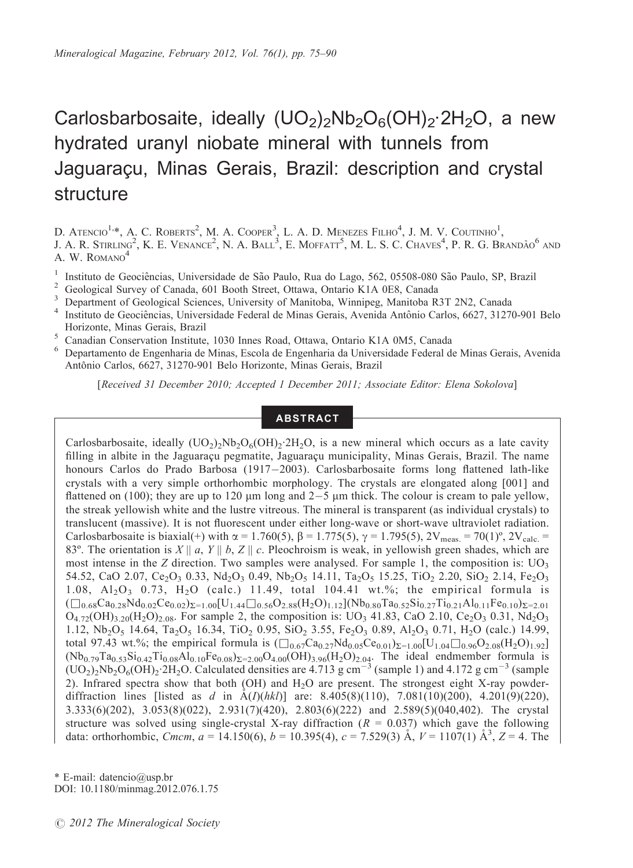# Carlosbarbosaite, ideally  $(UO_2)_2Nb_2O_6(OH)_2.2H_2O$ , a new hydrated uranyl niobate mineral with tunnels from Jaguaracu, Minas Gerais, Brazil: description and crystal structure

D. Atencio<sup>1,</sup>\*, A. C. Roberts<sup>2</sup>, M. A. Cooper<sup>3</sup>, L. A. D. Menezes Filho<sup>4</sup>, J. M. V. Coutinho<sup>1</sup>,<br>J. A. R. Stirling<sup>2</sup>, K. E. Venance<sup>2</sup>, N. A. Ball<sup>3</sup>, E. Moffatt<sup>5</sup>, M. L. S. C. Chaves<sup>4</sup>, P. R. G. Brandão<sup>6</sup> and A. W. ROMANO<sup>4</sup>

<sup>1</sup> Instituto de Geociências, Universidade de São Paulo, Rua do Lago, 562, 05508-080 São Paulo, SP, Brazil<br><sup>2</sup> Geological Survey of Canada, 601 Booth Street, Ottawa, Ontario K1A 0E8, Canada<br><sup>3</sup> Department of Geological Sc Horizonte, Minas Gerais, Brazil <sup>5</sup> Canadian Conservation Institute, 1030 Innes Road, Ottawa, Ontario K1A 0M5, Canada <sup>6</sup> Departamento de Engenharia de Minas, Escola de Engenharia da Universidade Federal de Minas Gerais, Avenida

Antônio Carlos, 6627, 31270-901 Belo Horizonte, Minas Gerais, Brazil

[Received 31 December 2010; Accepted 1 December 2011; Associate Editor: Elena Sokolova]

# **ABSTRACT**

Carlosbarbosaite, ideally  $(UO<sub>2</sub>)<sub>2</sub>Nb<sub>2</sub>O<sub>6</sub>(OH)<sub>2</sub>2H<sub>2</sub>O$ , is a new mineral which occurs as a late cavity filling in albite in the Jaguaracu pegmatite, Jaguaracu municipality, Minas Gerais, Brazil. The name honours Carlos do Prado Barbosa (1917-2003). Carlosbarbosaite forms long flattened lath-like crystals with a very simple orthorhombic morphology. The crystals are elongated along [001] and flattened on (100); they are up to 120  $\mu$ m long and 2 $-5$   $\mu$ m thick. The colour is cream to pale yellow, the streak yellowish white and the lustre vitreous. The mineral is transparent (as individual crystals) to translucent (massive). It is not fluorescent under either long-wave or short-wave ultraviolet radiation. Carlosbarbosaite is biaxial(+) with  $\alpha = 1.760(5)$ ,  $\beta = 1.775(5)$ ,  $\gamma = 1.795(5)$ ,  $2V_{meas.} = 70(1)$ <sup>o</sup>,  $2V_{calc.} =$ 83°. The orientation is  $X \parallel a$ ,  $Y \parallel b$ ,  $Z \parallel c$ . Pleochroism is weak, in yellowish green shades, which are most intense in the Z direction. Two samples were analysed. For sample 1, the composition is:  $UO<sub>3</sub>$ 54.52, CaO 2.07, Ce<sub>2</sub>O<sub>3</sub> 0.33, Nd<sub>2</sub>O<sub>3</sub> 0.49, Nb<sub>2</sub>O<sub>5</sub> 14.11, Ta<sub>2</sub>O<sub>5</sub> 15.25, TiO<sub>2</sub> 2.20, SiO<sub>2</sub> 2.14, Fe<sub>2</sub>O<sub>3</sub> 1.08,  $A1_2O_3$  0.73,  $H_2O$  (calc.) 11.49, total 104.41 wt.%; the empirical formula is  $(\Box_{0.68}Ca_{0.28}Nd_{0.02}Ce_{0.02})_{\Sigma=1.00}[U_{1.44}\Box_{0.56}O_{2.88}(H_2O)_{1.12}](Nb_{0.80}Ta_{0.52}Si_{0.27}Ti_{0.21}Al_{0.11}Fe_{0.10})_{\Sigma=2.01}$  $O_{4.72}(OH)_{3.20}(H_2O)_{2.08}$ . For sample 2, the composition is: UO<sub>3</sub> 41.83, CaO 2.10, Ce<sub>2</sub>O<sub>3</sub> 0.31, Nd<sub>2</sub>O<sub>3</sub> 1.12,  $Nb_2O_5$  14.64, Ta<sub>2</sub>O<sub>5</sub> 16.34, TiO<sub>2</sub> 0.95, SiO<sub>2</sub> 3.55, Fe<sub>2</sub>O<sub>3</sub> 0.89, Al<sub>2</sub>O<sub>3</sub> 0.71, H<sub>2</sub>O (calc.) 14.99, total 97.43 wt.%; the empirical formula is  $(\Box_{0.67}Ca_{0.27}Nd_{0.05}Ce_{0.01})_{\Sigma=1.00}[U_{1.04}\Box_{0.96}O_{2.08}(H_2O)_{1.92}]$  $(Nb_{0.79}Ta_{0.53}Si_{0.42}Ti_{0.08}Al_{0.10}Fe_{0.08})_{\Sigma=2.00}O_{4.00}(OH_{3.96}(H_2O)_{2.04}$ . The ideal endmember formula is  $(UO_2)_2Nb_2O_6(OH)_2.2H_2O$ . Calculated densities are 4.713 g cm<sup>-3</sup> (sample 1) and 4.172 g cm<sup>-3</sup> (sample 2). Infrared spectra show that both (OH) and H2O are present. The strongest eight X-ray powderdiffraction lines [listed as d in  $\AA(I)(hkl)$ ] are: 8.405(8)(110), 7.081(10)(200), 4.201(9)(220), 3.333(6)(202), 3.053(8)(022), 2.931(7)(420), 2.803(6)(222) and 2.589(5)(040,402). The crystal structure was solved using single-crystal X-ray diffraction  $(R = 0.037)$  which gave the following data: orthorhombic, *Cmcm*,  $a = 14.150(6)$ ,  $b = 10.395(4)$ ,  $c = 7.529(3)$   $\AA$ ,  $V = 1107(1)$   $\AA$ <sup>3</sup>,  $Z = 4$ . The

\* E-mail: datencio@usp.br DOI: 10.1180/minmag.2012.076.1.75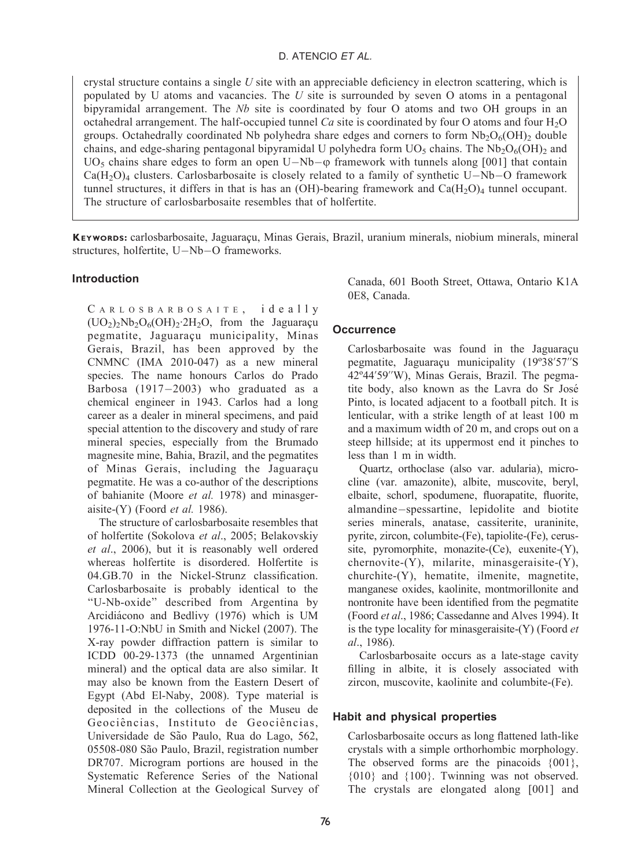# D. ATENCIO ET AL.

crystal structure contains a single  $U$  site with an appreciable deficiency in electron scattering, which is populated by  $U$  atoms and vacancies. The  $U$  site is surrounded by seven  $O$  atoms in a pentagonal bipyramidal arrangement. The  $Nb$  site is coordinated by four O atoms and two OH groups in an octahedral arrangement. The half-occupied tunnel  $Ca$  site is coordinated by four O atoms and four  $H_2O$ groups. Octahedrally coordinated Nb polyhedra share edges and corners to form  $Nb_2O<sub>6</sub>(OH)$ <sub>2</sub> double chains, and edge-sharing pentagonal bipyramidal U polyhedra form  $UO_5$  chains. The Nb<sub>2</sub>O<sub>6</sub>(OH)<sub>2</sub> and  $UO<sub>5</sub>$  chains share edges to form an open  $U-Nb-\varphi$  framework with tunnels along [001] that contain  $Ca(H<sub>2</sub>O)<sub>4</sub>$  clusters. Carlosbarbosaite is closely related to a family of synthetic U–Nb–O framework tunnel structures, it differs in that is has an (OH)-bearing framework and  $Ca(H<sub>2</sub>O)<sub>4</sub>$  tunnel occupant. The structure of carlosbarbosaite resembles that of holfertite.

KEYWORDS: carlosbarbosaite, Jaguaracu, Minas Gerais, Brazil, uranium minerals, niobium minerals, mineral structures, holfertite, U-Nb-O frameworks.

# Introduction

CARLOSBARBOSAITE, ideally  $(UO<sub>2</sub>)<sub>2</sub>Nb<sub>2</sub>O<sub>6</sub>(OH)<sub>2</sub>·2H<sub>2</sub>O$ , from the Jaguaracu pegmatite, Jaguaraçu municipality, Minas Gerais, Brazil, has been approved by the CNMNC (IMA 2010-047) as a new mineral species. The name honours Carlos do Prado Barbosa (1917-2003) who graduated as a chemical engineer in 1943. Carlos had a long career as a dealer in mineral specimens, and paid special attention to the discovery and study of rare mineral species, especially from the Brumado magnesite mine, Bahia, Brazil, and the pegmatites of Minas Gerais, including the Jaguaraçu pegmatite. He was a co-author of the descriptions of bahianite (Moore et al. 1978) and minasgeraisite-(Y) (Foord  $et$  al. 1986).

The structure of carlosbarbosaite resembles that of holfertite (Sokolova et al., 2005; Belakovskiy et al., 2006), but it is reasonably well ordered whereas holfertite is disordered. Holfertite is 04.GB.70 in the Nickel-Strunz classification. Carlosbarbosaite is probably identical to the ''U-Nb-oxide'' described from Argentina by Arcidiácono and Bedlivy (1976) which is UM 1976-11-O:NbU in Smith and Nickel (2007). The X-ray powder diffraction pattern is similar to ICDD 00-29-1373 (the unnamed Argentinian mineral) and the optical data are also similar. It may also be known from the Eastern Desert of Egypt (Abd El-Naby, 2008). Type material is deposited in the collections of the Museu de Geociências, Instituto de Geociências. Universidade de São Paulo, Rua do Lago, 562, 05508-080 São Paulo, Brazil, registration number DR707. Microgram portions are housed in the Systematic Reference Series of the National Mineral Collection at the Geological Survey of Canada, 601 Booth Street, Ottawa, Ontario K1A 0E8, Canada.

# **Occurrence**

Carlosbarbosaite was found in the Jaguaraçu pegmatite, Jaguaraçu municipality (19°38'57"S) 42º44'59''W), Minas Gerais, Brazil. The pegmatite body, also known as the Lavra do Sr Jose´ Pinto, is located adjacent to a football pitch. It is lenticular, with a strike length of at least 100 m and a maximum width of 20 m, and crops out on a steep hillside; at its uppermost end it pinches to less than 1 m in width.

Quartz, orthoclase (also var. adularia), microcline (var. amazonite), albite, muscovite, beryl, elbaite, schorl, spodumene, fluorapatite, fluorite, almandine-spessartine, lepidolite and biotite series minerals, anatase, cassiterite, uraninite, pyrite, zircon, columbite-(Fe), tapiolite-(Fe), cerussite, pyromorphite, monazite-(Ce), euxenite-(Y), chernovite-(Y), milarite, minasgeraisite-(Y), churchite-(Y), hematite, ilmenite, magnetite, manganese oxides, kaolinite, montmorillonite and nontronite have been identified from the pegmatite (Foord et al., 1986; Cassedanne and Alves 1994). It is the type locality for minasgeraisite- $(Y)$  (Foord et al., 1986).

Carlosbarbosaite occurs as a late-stage cavity filling in albite, it is closely associated with zircon, muscovite, kaolinite and columbite-(Fe).

# Habit and physical properties

Carlosbarbosaite occurs as long flattened lath-like crystals with a simple orthorhombic morphology. The observed forms are the pinacoids  $\{001\}$ , {010} and {100}. Twinning was not observed. The crystals are elongated along [001] and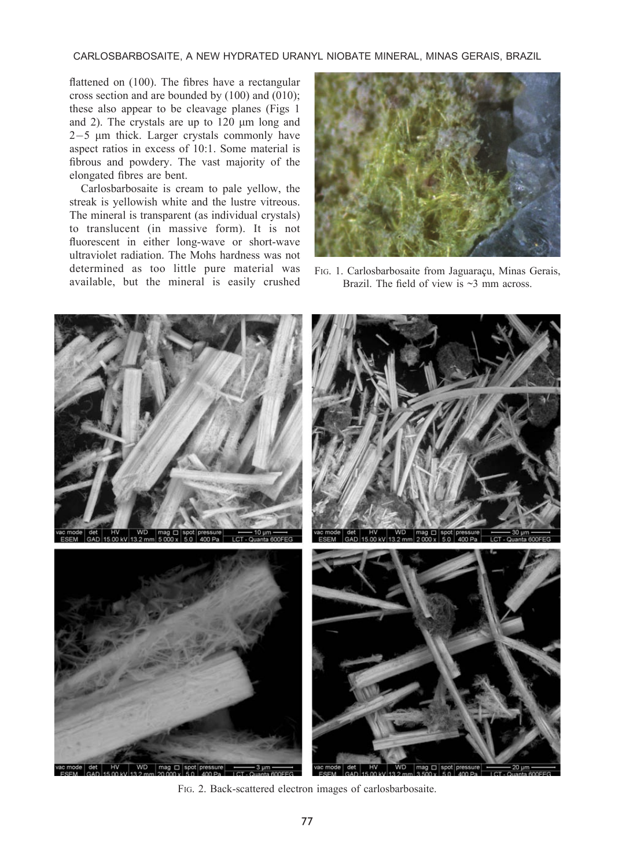CARLOSBARBOSAITE, A NEW HYDRATED URANYL NIOBATE MINERAL, MINAS GERAIS, BRAZIL

flattened on (100). The fibres have a rectangular cross section and are bounded by (100) and (010); these also appear to be cleavage planes (Figs 1 and 2). The crystals are up to  $120 \mu m$  long and 2-5 mm thick. Larger crystals commonly have aspect ratios in excess of 10:1. Some material is fibrous and powdery. The vast majority of the elongated fibres are bent.

Carlosbarbosaite is cream to pale yellow, the streak is yellowish white and the lustre vitreous. The mineral is transparent (as individual crystals) to translucent (in massive form). It is not fluorescent in either long-wave or short-wave ultraviolet radiation. The Mohs hardness was not determined as too little pure material was available, but the mineral is easily crushed



FIG. 1. Carlosbarbosaite from Jaguaraçu, Minas Gerais, Brazil. The field of view is  $\sim$ 3 mm across.



FIG. 2. Back-scattered electron images of carlosbarbosaite.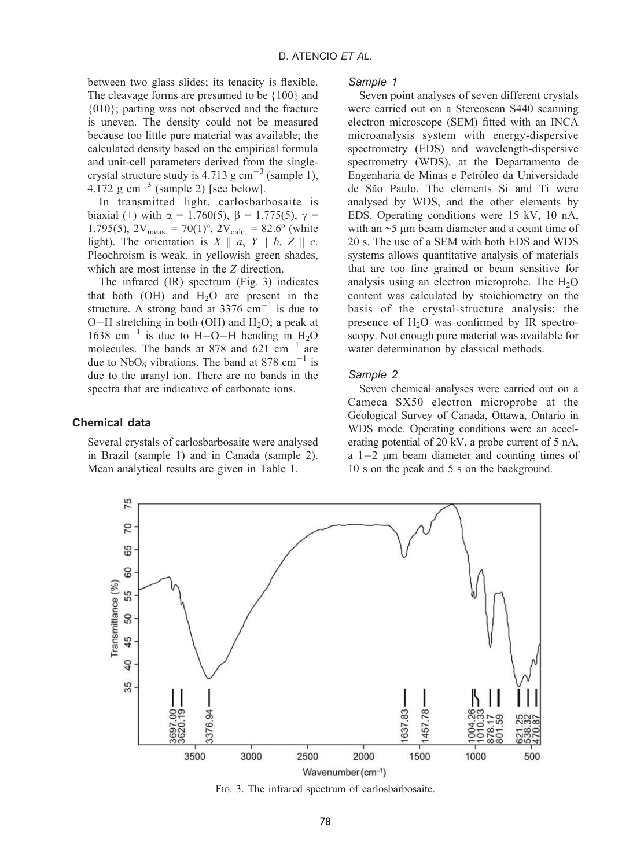between two glass slides; its tenacity is flexible. The cleavage forms are presumed to be {100} and {010}; parting was not observed and the fracture is uneven. The density could not be measured because too little pure material was available; the calculated density based on the empirical formula and unit-cell parameters derived from the singlecrystal structure study is  $4.713$  g cm<sup>-3</sup> (sample 1), 4.172  $\text{g cm}^{-3}$  (sample 2) [see below].

In transmitted light, carlosbarbosaite is biaxial (+) with  $\alpha = 1.760(5)$ ,  $\beta = 1.775(5)$ ,  $\gamma =$ 1.795(5),  $2V_{meas.} = 70(1)$ <sup>o</sup>,  $2V_{calc.} = 82.6$ <sup>o</sup> (white light). The orientation is  $X \parallel a$ ,  $Y \parallel b$ ,  $Z \parallel c$ . Pleochroism is weak, in yellowish green shades, which are most intense in the Z direction.

The infrared (IR) spectrum (Fig. 3) indicates that both  $(OH)$  and  $H<sub>2</sub>O$  are present in the structure. A strong band at  $3376 \text{ cm}^{-1}$  is due to  $O-H$  stretching in both (OH) and  $H_2O$ ; a peak at 1638 cm<sup>-1</sup> is due to H-O-H bending in  $H_2O$ molecules. The bands at 878 and 621  $\text{cm}^{-1}$  are due to  $NbO_6$  vibrations. The band at 878 cm<sup>-1</sup> is due to the uranyl ion. There are no bands in the spectra that are indicative of carbonate ions.

# Chemical data

Several crystals of carlosbarbosaite were analysed in Brazil (sample 1) and in Canada (sample 2). Mean analytical results are given in Table 1.

#### Sample 1

Seven point analyses of seven different crystals were carried out on a Stereoscan S440 scanning electron microscope (SEM) fitted with an INCA microanalysis system with energy-dispersive spectrometry (EDS) and wavelength-dispersive spectrometry (WDS), at the Departamento de Engenharia de Minas e Petróleo da Universidade de São Paulo. The elements Si and Ti were analysed by WDS, and the other elements by EDS. Operating conditions were 15 kV, 10 nA, with an  $\sim$ 5 um beam diameter and a count time of 20 s. The use of a SEM with both EDS and WDS systems allows quantitative analysis of materials that are too fine grained or beam sensitive for analysis using an electron microprobe. The  $H_2O$ content was calculated by stoichiometry on the basis of the crystal-structure analysis; the presence of  $H_2O$  was confirmed by IR spectroscopy. Not enough pure material was available for water determination by classical methods.

#### Sample 2

Seven chemical analyses were carried out on a Cameca SX50 electron microprobe at the Geological Survey of Canada, Ottawa, Ontario in WDS mode. Operating conditions were an accelerating potential of 20 kV, a probe current of 5 nA, a  $1-2$   $\mu$ m beam diameter and counting times of 10 s on the peak and 5 s on the background.



FIG. 3. The infrared spectrum of carlosbarbosaite.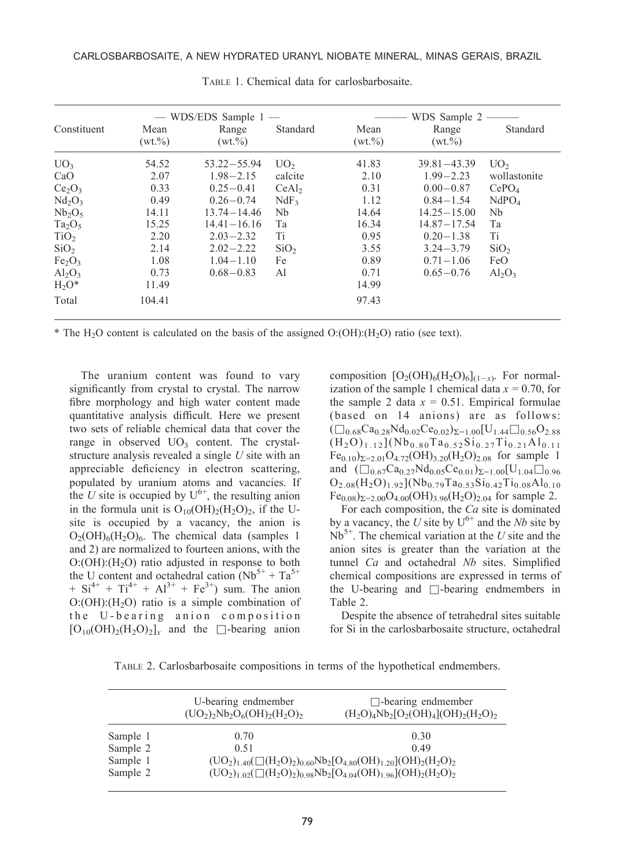|                                |                     | $-$ WDS/EDS Sample 1 $-$ |                   |                     | WDS Sample 2 -       |                   |
|--------------------------------|---------------------|--------------------------|-------------------|---------------------|----------------------|-------------------|
| Constituent                    | Mean<br>$(wt. \% )$ | Range<br>$(wt. \% )$     | Standard          | Mean<br>$(wt. \% )$ | Range<br>$(wt. \% )$ | Standard          |
| UO <sub>3</sub>                | 54.52               | $53.22 - 55.94$          | UO <sub>2</sub>   | 41.83               | $39.81 - 43.39$      | UO <sub>2</sub>   |
| CaO                            | 2.07                | $1.98 - 2.15$            | calcite           | 2.10                | $1.99 - 2.23$        | wollastonite      |
| Ce <sub>2</sub> O <sub>3</sub> | 0.33                | $0.25 - 0.41$            | CeAl <sub>2</sub> | 0.31                | $0.00 - 0.87$        | CePO <sub>4</sub> |
| Nd <sub>2</sub> O <sub>3</sub> | 0.49                | $0.26 - 0.74$            | NdF <sub>3</sub>  | 1.12                | $0.84 - 1.54$        | NdPO <sub>4</sub> |
| $Nb_2O_5$                      | 14.11               | $13.74 - 14.46$          | Nb                | 14.64               | $14.25 - 15.00$      | Nb                |
| $Ta_2O_5$                      | 15.25               | $14.41 - 16.16$          | Тa                | 16.34               | $14.87 - 17.54$      | Ta                |
| TiO <sub>2</sub>               | 2.20                | $2.03 - 2.32$            | Ti                | 0.95                | $0.20 - 1.38$        | Ti                |
| SiO <sub>2</sub>               | 2.14                | $2.02 - 2.22$            | SiO <sub>2</sub>  | 3.55                | $3.24 - 3.79$        | SiO <sub>2</sub>  |
| Fe <sub>2</sub> O <sub>3</sub> | 1.08                | $1.04 - 1.10$            | Fe                | 0.89                | $0.71 - 1.06$        | FeO               |
| $Al_2O_3$                      | 0.73                | $0.68 - 0.83$            | Al                | 0.71                | $0.65 - 0.76$        | $Al_2O_3$         |
| $H_2O^*$                       | 11.49               |                          |                   | 14.99               |                      |                   |
| Total                          | 104.41              |                          |                   | 97.43               |                      |                   |

TABLE 1. Chemical data for carlosbarbosaite.

\* The H<sub>2</sub>O content is calculated on the basis of the assigned  $O:(OH):(H<sub>2</sub>O)$  ratio (see text).

The uranium content was found to vary significantly from crystal to crystal. The narrow fibre morphology and high water content made quantitative analysis difficult. Here we present two sets of reliable chemical data that cover the range in observed  $UO<sub>3</sub>$  content. The crystalstructure analysis revealed a single U site with an appreciable deficiency in electron scattering, populated by uranium atoms and vacancies. If the U site is occupied by  $U^{6+}$ , the resulting anion in the formula unit is  $O_{10}(OH)_{2}(H_{2}O)_{2}$ , if the Usite is occupied by a vacancy, the anion is  $O<sub>2</sub>(OH)<sub>6</sub>(H<sub>2</sub>O)<sub>6</sub>$ . The chemical data (samples 1) and 2) are normalized to fourteen anions, with the  $O:(OH):(H<sub>2</sub>O)$  ratio adjusted in response to both the U content and octahedral cation  $(Nb^{5+} + Ta^{5+})$  $+ Si^{4+} + Ti^{4+} + Al^{3+} + Fe^{3+}$  sum. The anion  $O: (OH): (H<sub>2</sub>O)$  ratio is a simple combination of the U-bearing anion composition  $[O_{10}(OH)_{2}(H_{2}O)_{2}]_{x}$  and the  $\Box$ -bearing anion

composition  $[O_2(OH)_6(H_2O)_6]_{(1-x)}$ . For normalization of the sample 1 chemical data  $x = 0.70$ , for the sample 2 data  $x = 0.51$ . Empirical formulae (based on 14 anions) are as follows:  $(\Box_{0.68}Ca_{0.28}Nd_{0.02}Ce_{0.02})_{\Sigma=1.00}[U_{1.44}\Box_{0.56}O_{2.88}]$  $(H<sub>2</sub>O)<sub>1.12</sub>](Nb<sub>0.80</sub>Ta<sub>0.52</sub>Si<sub>0.27</sub>Ti<sub>0.21</sub>Al<sub>0.11</sub>$  $Fe_{0.10}$ ) $_{\Sigma=2.01}$ O<sub>4.72</sub>(OH)<sub>3.20</sub>(H<sub>2</sub>O)<sub>2.08</sub> for sample 1 and  $(\Box_{0.67}Ca_{0.27}Nd_{0.05}Ce_{0.01})_{\Sigma=1.00}[U_{1.04}\Box_{0.96}]$  $O_{2.08}(H_2O)_{1.92}$ ](Nb<sub>0.79</sub>Ta<sub>0.53</sub>Si<sub>0.42</sub>Ti<sub>0.08</sub>Al<sub>0.10</sub>  $Fe_{0.08}$ ) $_{\Sigma=2.00}$ O<sub>4.00</sub>(OH)<sub>3.96</sub>(H<sub>2</sub>O)<sub>2.04</sub> for sample 2.

For each composition, the  $Ca$  site is dominated by a vacancy, the U site by  $U^{6+}$  and the Nb site by  $Nb<sup>5+</sup>$ . The chemical variation at the U site and the anion sites is greater than the variation at the tunnel Ca and octahedral Nb sites. Simplified chemical compositions are expressed in terms of the U-bearing and  $\Box$ -bearing endmembers in Table 2.

Despite the absence of tetrahedral sites suitable for Si in the carlosbarbosaite structure, octahedral

TABLE 2. Carlosbarbosaite compositions in terms of the hypothetical endmembers.

|                      | U-bearing endmember<br>$(UO_2)_{2}Nb_2O_6(OH)_{2}(H_2O)_{2}$ | $\Box$ -bearing endmember<br>$(H_2O)_4Nb_2[O_2(OH)_4] (OH)_2(H_2O)_2$                                                                                            |
|----------------------|--------------------------------------------------------------|------------------------------------------------------------------------------------------------------------------------------------------------------------------|
| Sample 1             | 0.70                                                         | 0.30                                                                                                                                                             |
| Sample 2             | 0.51                                                         | 0.49                                                                                                                                                             |
| Sample 1<br>Sample 2 |                                                              | $(UO_2)_{1.40}(\square(H_2O)_2)_{0.60}Nb_2[O_{4.80}(OH)_{1.20}](OH)_2(H_2O)_2$<br>$(UO_2)_{1.02}(\square(H_2O)_2)_{0.98}Nb_2[O_{4.04}(OH)_{1.96}](OH)_2(H_2O)_2$ |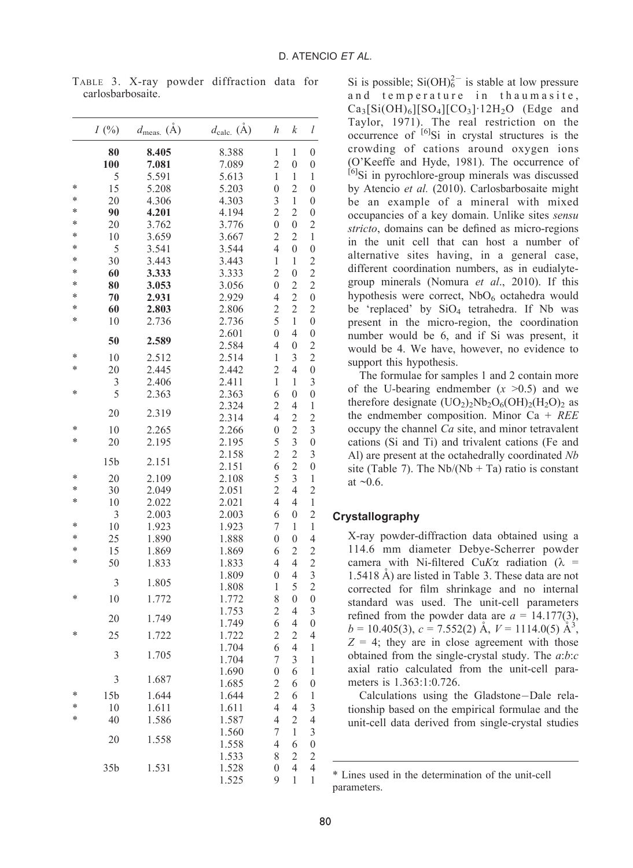|        | I(%)            | $d_{\text{meas.}}(\text{\AA})$ | $d_{\text{calc.}}(\AA)$ | h                   | k                   | l                       |
|--------|-----------------|--------------------------------|-------------------------|---------------------|---------------------|-------------------------|
|        | 80              | 8.405                          | 8.388                   | $\mathbf 1$         | $\mathbf{1}$        | $\boldsymbol{0}$        |
|        | 100             | 7.081                          | 7.089                   | $\overline{2}$      | $\overline{0}$      | $\boldsymbol{0}$        |
|        | 5               | 5.591                          | 5.613                   | $\mathbf{1}$        | 1                   | 1                       |
| $\ast$ | 15              | 5.208                          | 5.203                   | $\overline{0}$      | $\overline{2}$      | $\overline{0}$          |
| $\ast$ | 20              | 4.306                          | 4.303                   | 3                   | $\mathbf{1}$        | $\overline{0}$          |
| $\ast$ | 90              | 4.201                          | 4.194                   | $\overline{c}$      | $\overline{c}$      | $\overline{0}$          |
| $\ast$ | 20              | 3.762                          | 3.776                   | $\overline{0}$      | $\overline{0}$      | $\overline{c}$          |
| $\ast$ | 10              | 3.659                          | 3.667                   | $\overline{c}$      | $\overline{c}$      | $\mathbf 1$             |
| *      | 5               | 3.541                          | 3.544                   | 4                   | $\overline{0}$      | $\overline{0}$          |
| $\ast$ | 30              | 3.443                          | 3.443                   | $\mathbf{1}$        | 1                   | $\overline{c}$          |
| $\ast$ | 60              | 3.333                          | 3.333                   | $\overline{c}$      | $\overline{0}$      | $\overline{\mathbf{c}}$ |
| $\ast$ | 80              | 3.053                          | 3.056                   | $\overline{0}$      | $\overline{2}$      | $\overline{c}$          |
| $\ast$ | 70              | 2.931                          | 2.929                   | 4                   | $\overline{c}$      | $\boldsymbol{0}$        |
| $\ast$ | 60              | 2.803                          | 2.806                   | $\overline{c}$      | $\overline{c}$      | $\overline{c}$          |
| $\ast$ | 10              | 2.736                          | 2.736                   | 5                   | 1                   | $\overline{0}$          |
|        | 50              | 2.589                          | 2.601                   | $\overline{0}$      | 4                   | $\overline{0}$          |
|        |                 |                                | 2.584                   | 4                   | $\overline{0}$      | $\overline{c}$          |
| *      | 10              | 2.512                          | 2.514                   | $\mathbf{1}$        | 3                   | $\overline{c}$          |
| $\ast$ | 20              | 2.445                          | 2.442                   | $\overline{2}$      | 4                   | $\overline{0}$          |
| $\ast$ | 3               | 2.406                          | 2.411                   | $\mathbf{1}$        | 1                   | 3                       |
|        | 5               | 2.363                          | 2.363                   | 6                   | $\overline{0}$      | $\overline{0}$          |
|        | 20              | 2.319                          | 2.324                   | $\overline{c}$      | 4                   | 1                       |
| ×      | 10              |                                | 2.314                   | 4                   | $\overline{c}$      | $\overline{c}$          |
| ×      |                 | 2.265                          | 2.266                   | $\overline{0}$      | $\overline{c}$      | 3                       |
|        | 20              | 2.195                          | 2.195<br>2.158          | 5<br>$\overline{2}$ | 3<br>$\overline{c}$ | $\overline{0}$<br>3     |
|        | 15 <sub>b</sub> | 2.151                          | 2.151                   | 6                   | $\overline{c}$      | $\overline{0}$          |
| *      | 20              | 2.109                          | 2.108                   | 5                   | 3                   | $\mathbf{1}$            |
| ×      | 30              | 2.049                          | 2.051                   | $\overline{2}$      | 4                   | $\overline{2}$          |
| ∗      | 10              | 2.022                          | 2.021                   | 4                   | $\overline{4}$      | $\mathbf{1}$            |
|        | 3               | 2.003                          | 2.003                   | 6                   | $\overline{0}$      | $\overline{c}$          |
| ×      | 10              | 1.923                          | 1.923                   | 7                   | 1                   | 1                       |
| *      | 25              | 1.890                          | 1.888                   | $\overline{0}$      | $\overline{0}$      | $\overline{4}$          |
| ×      | 15              | 1.869                          | 1.869                   | 6                   | $\overline{c}$      | $\overline{c}$          |
| $\ast$ | 50              | 1.833                          | 1.833                   | 4                   | 4                   | $\overline{c}$          |
|        |                 |                                | 1.809                   | $\overline{0}$      | 4                   | 3                       |
|        | 3               | 1.805                          | 1.808                   | $\mathbf 1$         | 5                   | $\overline{c}$          |
| ×      | 10              | 1.772                          | 1.772                   | 8                   | $\overline{0}$      | $\boldsymbol{0}$        |
|        |                 |                                | 1.753                   | 2                   | 4                   | 3                       |
|        | 20              | 1.749                          | 1.749                   | 6                   | 4                   | $\overline{0}$          |
| ×      | 25              | 1.722                          | 1.722                   | $\overline{c}$      | $\overline{c}$      | 4                       |
|        | 3               | 1.705                          | 1.704                   | 6                   | $\overline{4}$      | 1                       |
|        |                 |                                | 1.704                   | 7                   | 3                   | 1                       |
|        |                 |                                | 1.690                   | $\overline{0}$      | 6                   | 1                       |
|        | 3               | 1.687                          | 1.685                   | $\overline{c}$      | 6                   | $\overline{0}$          |
| ×      | 15 <sub>b</sub> | 1.644                          | 1.644                   | $\overline{c}$      | 6                   | 1                       |
| ×      | 10              | 1.611                          | 1.611                   | 4                   | 4                   | 3                       |
| ×      | 40              | 1.586                          | 1.587                   | 4                   | $\overline{c}$      | $\overline{4}$          |
|        | 20              | 1.558                          | 1.560                   | 7                   | $\mathbf 1$         | 3                       |
|        |                 |                                | 1.558                   | $\overline{4}$      | 6                   | $\overline{0}$          |
|        |                 |                                | 1.533                   | 8                   | $\overline{c}$      | $\overline{c}$          |
|        | 35b             | 1.531                          | 1.528                   | $\overline{0}$      | 4                   | 4                       |
|        |                 |                                | 1.525                   | 9                   | 1                   | 1                       |

TABLE 3. X-ray powder diffraction data for carlosbarbosaite.

Si is possible;  $Si(OH)<sub>6</sub><sup>2–</sup>$  is stable at low pressure and temperature in thaumasite,  $Ca_3[Si(OH)_6][SO_4][CO_3]$ <sup>-12H<sub>2</sub>O (Edge and</sup> Taylor, 1971). The real restriction on the occurrence of  $^{[6]}$ Si in crystal structures is the crowding of cations around oxygen ions (O'Keeffe and Hyde, 1981). The occurrence of [6]Si in pyrochlore-group minerals was discussed by Atencio et al. (2010). Carlosbarbosaite might be an example of a mineral with mixed occupancies of a key domain. Unlike sites sensu stricto, domains can be defined as micro-regions in the unit cell that can host a number of alternative sites having, in a general case, different coordination numbers, as in eudialytegroup minerals (Nomura et al., 2010). If this hypothesis were correct,  $NbO<sub>6</sub>$  octahedra would be 'replaced' by  $SiO<sub>4</sub>$  tetrahedra. If Nb was present in the micro-region, the coordination number would be 6, and if Si was present, it would be 4. We have, however, no evidence to support this hypothesis.

The formulae for samples 1 and 2 contain more of the U-bearing endmember  $(x > 0.5)$  and we therefore designate  $(UO<sub>2</sub>)<sub>2</sub>Nb<sub>2</sub>O<sub>6</sub>(OH)<sub>2</sub>(H<sub>2</sub>O)<sub>2</sub>$  as the endmember composition. Minor  $Ca + REE$ occupy the channel Ca site, and minor tetravalent cations (Si and Ti) and trivalent cations (Fe and Al) are present at the octahedrally coordinated Nb site (Table 7). The  $Nb/(Nb + Ta)$  ratio is constant at  $\sim 0.6$ .

# Crystallography

X-ray powder-diffraction data obtained using a 114.6 mm diameter Debye-Scherrer powder camera with Ni-filtered CuK $\alpha$  radiation ( $\lambda$  =  $1.5418$  Å) are listed in Table 3. These data are not corrected for film shrinkage and no internal standard was used. The unit-cell parameters refined from the powder data are  $a = 14.177(3)$ ,  $b = 10.405(3), c = 7.552(2)$  Å,  $V = 1114.0(5)$  Å<sup>3</sup>,  $Z = 4$ ; they are in close agreement with those obtained from the single-crystal study. The  $a:b:c$ axial ratio calculated from the unit-cell parameters is 1.363:1:0.726.

Calculations using the Gladstone-Dale relationship based on the empirical formulae and the unit-cell data derived from single-crystal studies

<sup>1</sup> \* Lines used in the determination of the unit-cell parameters.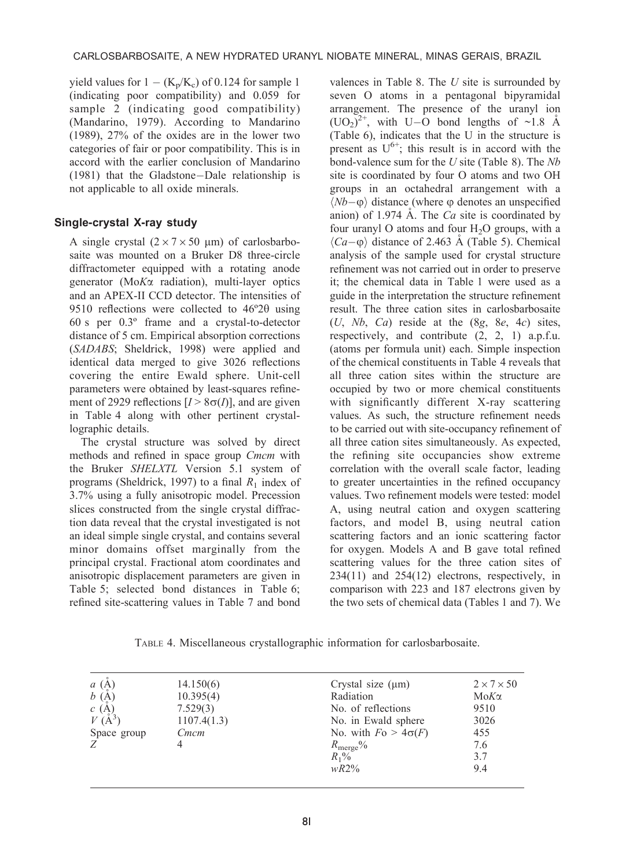yield values for  $1 - (K_p/K_c)$  of 0.124 for sample 1 (indicating poor compatibility) and 0.059 for sample 2 (indicating good compatibility) (Mandarino, 1979). According to Mandarino (1989), 27% of the oxides are in the lower two categories of fair or poor compatibility. This is in accord with the earlier conclusion of Mandarino (1981) that the Gladstone-Dale relationship is not applicable to all oxide minerals.

# Single-crystal X-ray study

A single crystal  $(2 \times 7 \times 50 \text{ }\mu\text{m})$  of carlosbarbosaite was mounted on a Bruker D8 three-circle diffractometer equipped with a rotating anode generator (MoKa radiation), multi-layer optics and an APEX-II CCD detector. The intensities of 9510 reflections were collected to  $46^{\circ}2\theta$  using 60 s per 0.3º frame and a crystal-to-detector distance of 5 cm. Empirical absorption corrections (SADABS; Sheldrick, 1998) were applied and identical data merged to give 3026 reflections covering the entire Ewald sphere. Unit-cell parameters were obtained by least-squares refinement of 2929 reflections  $[I > 8\sigma(I)]$ , and are given in Table 4 along with other pertinent crystallographic details.

The crystal structure was solved by direct methods and refined in space group Cmcm with the Bruker SHELXTL Version 5.1 system of programs (Sheldrick, 1997) to a final  $R_1$  index of 3.7% using a fully anisotropic model. Precession slices constructed from the single crystal diffraction data reveal that the crystal investigated is not an ideal simple single crystal, and contains several minor domains offset marginally from the principal crystal. Fractional atom coordinates and anisotropic displacement parameters are given in Table 5; selected bond distances in Table 6; refined site-scattering values in Table 7 and bond

valences in Table 8. The  $U$  site is surrounded by seven O atoms in a pentagonal bipyramidal arrangement. The presence of the uranyl ion  $(UO_2)^{2^+}$ , with U–O bond lengths of ~1.8 Å (Table 6), indicates that the U in the structure is present as  $U^{6+}$ ; this result is in accord with the bond-valence sum for the  $U$  site (Table 8). The  $Nb$ site is coordinated by four O atoms and two OH groups in an octahedral arrangement with a  $\langle Nb-\varphi \rangle$  distance (where  $\varphi$  denotes an unspecified anion) of 1.974  $\AA$ . The *Ca* site is coordinated by four uranyl O atoms and four  $H_2O$  groups, with a  $\langle Ca-\varphi\rangle$  distance of 2.463 Å (Table 5). Chemical analysis of the sample used for crystal structure refinement was not carried out in order to preserve it; the chemical data in Table 1 were used as a guide in the interpretation the structure refinement result. The three cation sites in carlosbarbosaite  $(U, Nb, Ca)$  reside at the  $(8g, 8e, 4c)$  sites, respectively, and contribute (2, 2, 1) a.p.f.u. (atoms per formula unit) each. Simple inspection of the chemical constituents in Table 4 reveals that all three cation sites within the structure are occupied by two or more chemical constituents with significantly different X-ray scattering values. As such, the structure refinement needs to be carried out with site-occupancy refinement of all three cation sites simultaneously. As expected, the refining site occupancies show extreme correlation with the overall scale factor, leading to greater uncertainties in the refined occupancy values. Two refinement models were tested: model A, using neutral cation and oxygen scattering factors, and model B, using neutral cation scattering factors and an ionic scattering factor for oxygen. Models A and B gave total refined scattering values for the three cation sites of 234(11) and 254(12) electrons, respectively, in comparison with 223 and 187 electrons given by the two sets of chemical data (Tables 1 and 7). We

TABLE 4. Miscellaneous crystallographic information for carlosbarbosaite.

| $a\;(\text{\AA})$ | 14.150(6)   | Crystal size $(\mu m)$      | $2 \times 7 \times 50$ |
|-------------------|-------------|-----------------------------|------------------------|
| $b\;$ (Å)         | 10.395(4)   | Radiation                   | $M$ o $K\alpha$        |
| c(A)              | 7.529(3)    | No. of reflections          | 9510                   |
| $V(A^3)$          | 1107.4(1.3) | No. in Ewald sphere         | 3026                   |
| Space group       | Cmcm        | No. with $F_0 > 4\sigma(F)$ | 455                    |
| Z                 |             | $R_{\text{merge}}\%$        | 7.6                    |
|                   |             | $R_1\%$                     | 3.7                    |
|                   |             | $wR2\%$                     | 9.4                    |
|                   |             |                             |                        |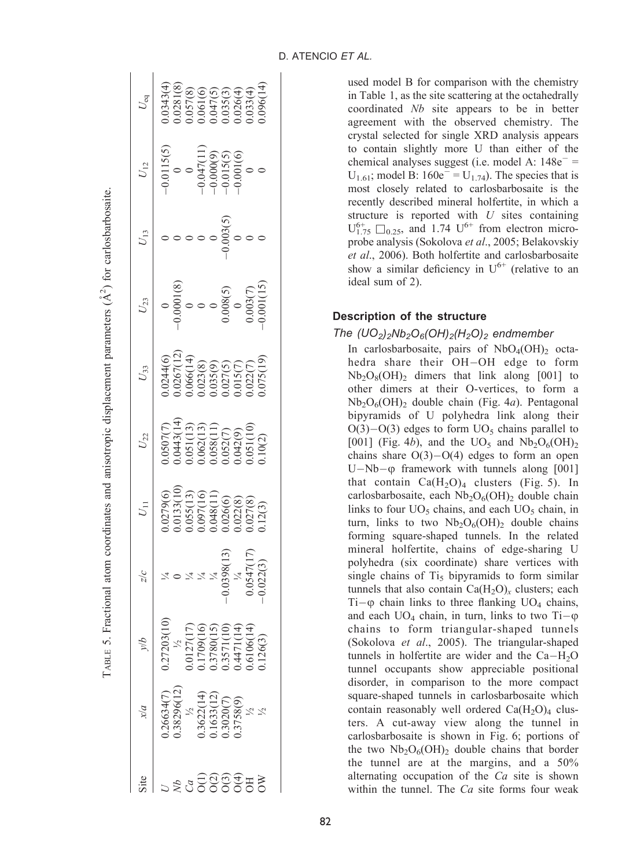| $U_{\rm eq}$  | $0.0343(4)$<br>$0.0281(8)$<br>$0.057(8)$<br>$0.061(6)$<br>$0.047(5)$<br>$0.035(4)$<br>$0.026(4)$<br>$0.033(4)$                                                                                                                                                                                         |                                                                                                     |                 |  |                                                                                                                                                                                                                                                                                                                                                                                                                                                                                                                                                    |
|---------------|--------------------------------------------------------------------------------------------------------------------------------------------------------------------------------------------------------------------------------------------------------------------------------------------------------|-----------------------------------------------------------------------------------------------------|-----------------|--|----------------------------------------------------------------------------------------------------------------------------------------------------------------------------------------------------------------------------------------------------------------------------------------------------------------------------------------------------------------------------------------------------------------------------------------------------------------------------------------------------------------------------------------------------|
| $U_{12}$      |                                                                                                                                                                                                                                                                                                        |                                                                                                     |                 |  |                                                                                                                                                                                                                                                                                                                                                                                                                                                                                                                                                    |
| $U_{13}$      |                                                                                                                                                                                                                                                                                                        |                                                                                                     |                 |  |                                                                                                                                                                                                                                                                                                                                                                                                                                                                                                                                                    |
| $U_{23}$      | $\begin{array}{r} 0 & 0 \ -0.0001(8) \ 0 & 0 \ 0 & 0 \ 0.008(5) \ 0.003(7) \ 0.003(7) \ 0.001(15) \end{array}$                                                                                                                                                                                         |                                                                                                     |                 |  |                                                                                                                                                                                                                                                                                                                                                                                                                                                                                                                                                    |
| $U_{33}$      | $\begin{array}{l} 1.0244(6)\\ 1.0267(12)\\ 1.066(14)\\ 0.063(8)\\ 0.023(8)\\ 0.035(9)\\ 0.027(5)\\ 0.015(7)\\ 0.015(7)\\ 0.015(7)\\ 0.022(7)\\ 0.075(19)\\ 0.075(19)\\ \end{array}$                                                                                                                    |                                                                                                     |                 |  |                                                                                                                                                                                                                                                                                                                                                                                                                                                                                                                                                    |
| $U_{22}$      | $\begin{array}{l} (0.507(7)\\ (0.967(1)\\ (0.443(14)\\ (0.643(13)\\ (0.62(13)\\ (0.62(1))\\ (0.62(1))\\ (0.62(1))\\ (0.62(1))\\ (0.62(1))\\ (0.62(1))\\ (0.62(1))\\ (0.62(1))\\ (0.62(1))\\ (0.62(1))\\ (0.62(1))\\ (0.62(1))\\ (0.62(1))\\ (0.62(1))\\ (0.62(1))\\ (0.62(1))\\ (0.62(1))\\ (0.62(1))$ |                                                                                                     |                 |  |                                                                                                                                                                                                                                                                                                                                                                                                                                                                                                                                                    |
| $U_{11}$      |                                                                                                                                                                                                                                                                                                        |                                                                                                     |                 |  |                                                                                                                                                                                                                                                                                                                                                                                                                                                                                                                                                    |
| $\frac{1}{2}$ |                                                                                                                                                                                                                                                                                                        |                                                                                                     |                 |  | $\begin{array}{l} \gamma_4 \\ \gamma_4 \\ \gamma_5 \\ \gamma_6 \\ \gamma_7 \\ \gamma_8 \\ \gamma_9 \\ \gamma_1 \\ \gamma_4 \\ \gamma_6 \\ \gamma_7 \\ \gamma_8 \\ \gamma_1 \\ \gamma_1 \\ \gamma_2 \\ \gamma_1 \\ \gamma_2 \\ \gamma_3 \\ \gamma_1 \\ \gamma_2 \\ \gamma_3 \\ \gamma_4 \\ \gamma_5 \\ \gamma_6 \\ \gamma_7 \\ \gamma_8 \\ \gamma_9 \\ \gamma_1 \\ \gamma_1 \\ \gamma_2 \\ \gamma_3 \\ \gamma_4 \\ \gamma_5 \\ \gamma_6 \\ \gamma_7 \\ \gamma_8 \\ \gamma_9 \\ \gamma_9 \\ \gamma_1 \\ \gamma_1 \\ \gamma_2 \\ \gamma_4 \\ \gamma_$ |
| q/            | $\begin{array}{l} 0.27203(10\\ 1/2\\ 1/3\\ 0.0127(17)\\ 0.1709(16)\\ 0.1709(15)\\ 0.3780(15)\\ 0.371(10)\\ 0.4471(14)\\ 0.6106(14)\\ 0.0126(3) \end{array}$                                                                                                                                            |                                                                                                     |                 |  |                                                                                                                                                                                                                                                                                                                                                                                                                                                                                                                                                    |
|               | 18296(12<br>.26634(7)                                                                                                                                                                                                                                                                                  | $\begin{array}{l} \frac{1}{2} \\ 1.3622(14) \\ 1.1633(12) \\ 1.3020(7) \\ 1.3758(9) \\ \end{array}$ |                 |  |                                                                                                                                                                                                                                                                                                                                                                                                                                                                                                                                                    |
| Site          |                                                                                                                                                                                                                                                                                                        |                                                                                                     | esser<br>Sesser |  |                                                                                                                                                                                                                                                                                                                                                                                                                                                                                                                                                    |

TABLE 5. Fractional atom coordinates and anisotropic displacement parameters  $(\hat{A}^2)$  for carlosbarbosaite.

TABLE 5. Fractional atom coordinates and anisotropic displacement parameters  $(\hat{A}^2)$  for carlosbarbosaite.

used model B for comparison with the chemistry in Table 1, as the site scattering at the octahedrally coordinated Nb site appears to be in better agreement with the observed chemistry. The crystal selected for single XRD analysis appears to contain slightly more U than either of the chemical analyses suggest (i.e. model A:  $148e^-$  =  $U_{1.61}$ ; model B:  $160e^{-} = U_{1.74}$ ). The species that is most closely related to carlosbarbosaite is the recently described mineral holfertite, in which a structure is reported with  $U$  sites containing  $U_{1.75}^{6+}$   $\square_{0.25}$ , and 1.74  $U^{6+}$  from electron microprobe analysis (Sokolova et al., 2005; Belakovskiy et al., 2006). Both holfertite and carlosbarbosaite show a similar deficiency in  $U^{6+}$  (relative to an ideal sum of 2).

# Description of the structure

## The  $(UO_2)_2Nb_2O_6(OH)_2(H_2O)_2$  endmember

In carlosbarbosaite, pairs of  $NbO_4(OH)$ <sub>2</sub> octahedra share their OH-OH edge to form  $Nb_2O_8(OH)$ <sub>2</sub> dimers that link along [001] to other dimers at their O-vertices, to form a  $Nb<sub>2</sub>O<sub>6</sub>(OH)$ <sub>2</sub> double chain (Fig. 4*a*). Pentagonal bipyramids of U polyhedra link along their  $O(3) - O(3)$  edges to form  $UO<sub>5</sub>$  chains parallel to [001] (Fig. 4b), and the  $UO_5$  and  $Nb_2O_6(OH)_2$ chains share  $O(3) - O(4)$  edges to form an open U-Nb- $\varphi$  framework with tunnels along [001] that contain  $Ca(H<sub>2</sub>O)<sub>4</sub>$  clusters (Fig. 5). In carlosbarbosaite, each  $Nb<sub>2</sub>O<sub>6</sub>(OH)<sub>2</sub>$  double chain links to four  $UO_5$  chains, and each  $UO_5$  chain, in turn, links to two  $Nb<sub>2</sub>O<sub>6</sub>(OH)<sub>2</sub>$  double chains forming square-shaped tunnels. In the related mineral holfertite, chains of edge-sharing U polyhedra (six coordinate) share vertices with single chains of  $Ti<sub>5</sub>$  bipyramids to form similar tunnels that also contain  $Ca(H<sub>2</sub>O)<sub>x</sub>$  clusters; each  $Ti-\varphi$  chain links to three flanking  $UO_4$  chains, and each  $UO_4$  chain, in turn, links to two Ti- $\varphi$ chains to form triangular-shaped tunnels (Sokolova et al., 2005). The triangular-shaped tunnels in holfertite are wider and the  $Ca-H<sub>2</sub>O$ tunnel occupants show appreciable positional disorder, in comparison to the more compact square-shaped tunnels in carlosbarbosaite which contain reasonably well ordered  $Ca(H<sub>2</sub>O)<sub>4</sub>$  clusters. A cut-away view along the tunnel in carlosbarbosaite is shown in Fig. 6; portions of the two  $Nb_2O_6(OH)$ <sub>2</sub> double chains that border the tunnel are at the margins, and a 50% alternating occupation of the Ca site is shown within the tunnel. The  $Ca$  site forms four weak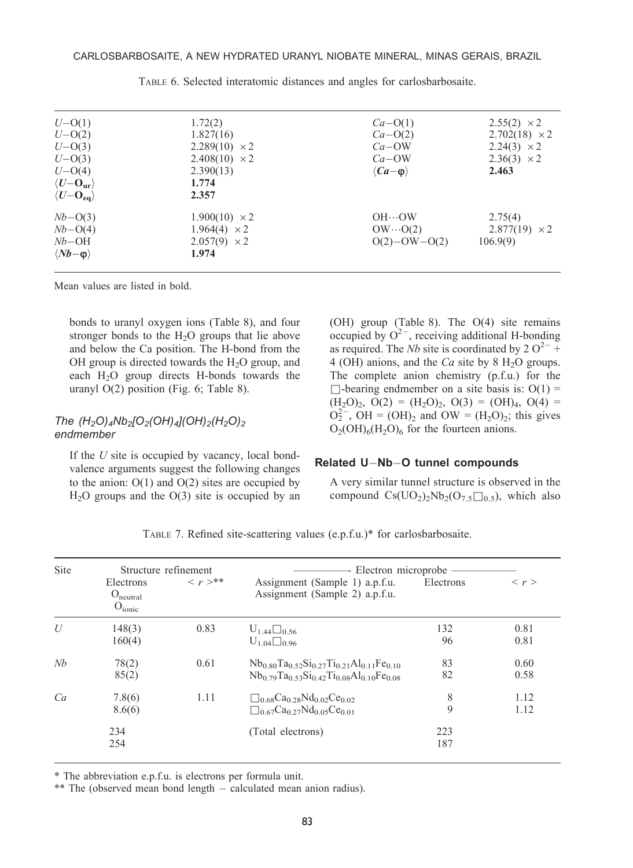| $U - O(1)$                       | 1.72(2)              | $Ca-O(1)$                  | $2.55(2) \times 2$   |
|----------------------------------|----------------------|----------------------------|----------------------|
| $U - O(2)$                       | 1.827(16)            | $Ca-O(2)$                  | $2.702(18) \times 2$ |
| $U - O(3)$                       | $2.289(10) \times 2$ | $Ca-OW$                    | $2.24(3) \times 2$   |
| $U - O(3)$                       | $2.408(10) \times 2$ | $Ca-OW$                    | $2.36(3) \times 2$   |
| $U - O(4)$                       | 2.390(13)            | $\langle Ca-\omega\rangle$ | 2.463                |
| $\langle U - O_{\rm ur} \rangle$ | 1.774                |                            |                      |
| $\langle U - O_{eq} \rangle$     | 2.357                |                            |                      |
| $Nb-O(3)$                        | $1.900(10) \times 2$ | $OH \cdots OM$             | 2.75(4)              |
| $Nb-O(4)$                        | $1.964(4) \times 2$  | $OW \cdots O(2)$           | $2.877(19) \times 2$ |
| $Nb-OH$                          | $2.057(9) \times 2$  | $O(2) - OW - O(2)$         | 106.9(9)             |
| $\langle Nb-\varphi\rangle$      | 1.974                |                            |                      |
|                                  |                      |                            |                      |

TABLE 6. Selected interatomic distances and angles for carlosbarbosaite.

Mean values are listed in bold.

bonds to uranyl oxygen ions (Table 8), and four stronger bonds to the  $H<sub>2</sub>O$  groups that lie above and below the Ca position. The H-bond from the OH group is directed towards the  $H_2O$  group, and each  $H<sub>2</sub>O$  group directs H-bonds towards the uranyl O(2) position (Fig. 6; Table 8).

# The  $(H_2O)_4Nb_2[O_2(OH)_4](OH)_2(H_2O)_2$ endmember

If the  $U$  site is occupied by vacancy, local bondvalence arguments suggest the following changes to the anion:  $O(1)$  and  $O(2)$  sites are occupied by  $H<sub>2</sub>O$  groups and the  $O(3)$  site is occupied by an (OH) group (Table 8). The O(4) site remains occupied by  $O^{2-}$ , receiving additional H-bonding as required. The *Nb* site is coordinated by 2  $O^{2-}$  + 4 (OH) anions, and the  $Ca$  site by 8 H<sub>2</sub>O groups. The complete anion chemistry (p.f.u.) for the  $\Box$ -bearing endmember on a site basis is: O(1) =  $(H_2O)_2$ ,  $O(2) = (H_2O)_2$ ,  $O(3) = (OH)_4$ ,  $O(4) =$  $O_2^{2-}$ , OH = (OH)<sub>2</sub> and OW = (H<sub>2</sub>O)<sub>2</sub>; this gives  $O_2(OH)_6(H_2O)_6$  for the fourteen anions.

#### Related U-Nb-O tunnel compounds

A very similar tunnel structure is observed in the compound  $Cs(UO<sub>2</sub>)<sub>2</sub>Nb<sub>2</sub>(O<sub>7.5</sub>\square<sub>0.5</sub>)$ , which also

| Site |                                                         | Structure refinement     | - Electron microprobe –                                                                                                                                            |            |                     |  |  |  |
|------|---------------------------------------------------------|--------------------------|--------------------------------------------------------------------------------------------------------------------------------------------------------------------|------------|---------------------|--|--|--|
|      | Electrons<br>O <sub>neutral</sub><br>O <sub>ionic</sub> | $\langle r \rangle^{**}$ | Assignment (Sample 1) a.p.f.u.<br>Assignment (Sample 2) a.p.f.u.                                                                                                   | Electrons  | $\langle r \rangle$ |  |  |  |
| U    | 148(3)<br>160(4)                                        | 0.83                     | $U_{1.44}$ 0.56<br>$U_{1.04}$ 0.96                                                                                                                                 | 132<br>96  | 0.81<br>0.81        |  |  |  |
| Nh   | 78(2)<br>85(2)                                          | 0.61                     | $Nb_{0.80}Ta_{0.52}Si_{0.27}Ti_{0.21}Al_{0.11}Fe_{0.10}$<br>$Nb_{0.79}Ta_{0.53}Si_{0.42}Ti_{0.08}Al_{0.10}Fe_{0.08}$                                               | 83<br>82   | 0.60<br>0.58        |  |  |  |
| Ca   | 7.8(6)<br>8.6(6)                                        | 1.11                     | $\Box$ <sub>0.68</sub> Ca <sub>0.28</sub> Nd <sub>0.02</sub> Ce <sub>0.02</sub><br>$\Box$ <sub>0.67</sub> Ca <sub>0.27</sub> Nd <sub>0.05</sub> Ce <sub>0.01</sub> | 8<br>9     | 1.12<br>1.12        |  |  |  |
|      | 234<br>254                                              |                          | (Total electrons)                                                                                                                                                  | 223<br>187 |                     |  |  |  |

TABLE 7. Refined site-scattering values (e.p.f.u.)\* for carlosbarbosaite.

\* The abbreviation e.p.f.u. is electrons per formula unit.

\*\* The (observed mean bond length - calculated mean anion radius).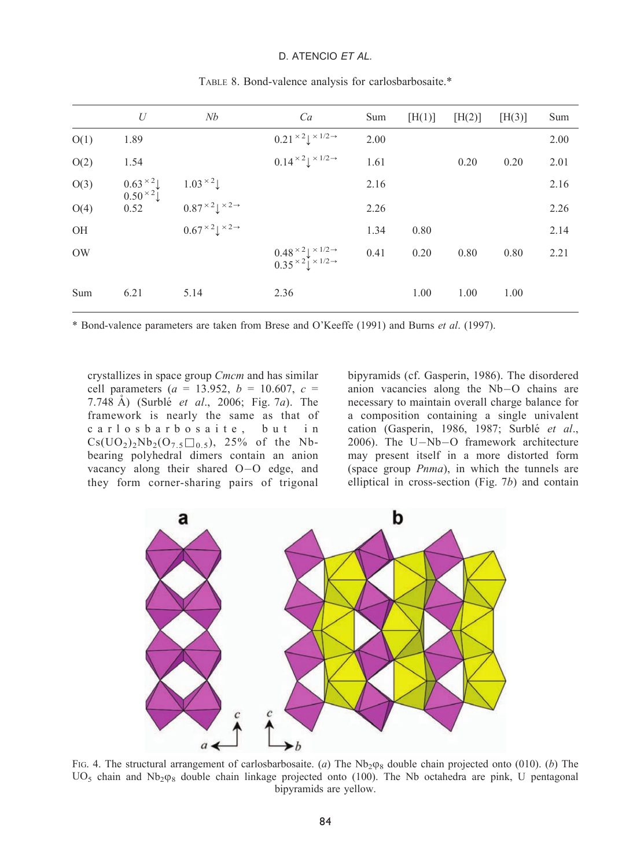# D. ATENCIO ET AL.

|      | U                                  | Nb                                                        | Ca                                                                            | Sum  | [H(1)] | [H(2)] | [H(3)] | Sum  |
|------|------------------------------------|-----------------------------------------------------------|-------------------------------------------------------------------------------|------|--------|--------|--------|------|
| O(1) | 1.89                               |                                                           | $0.21 \times 21 \times 1/2 \rightarrow$                                       | 2.00 |        |        |        | 2.00 |
| O(2) | 1.54                               |                                                           | $0.14 \times 2 \downarrow \times 1/2 \rightarrow$                             | 1.61 |        | 0.20   | 0.20   | 2.01 |
| O(3) | $0.63 \times 2$<br>$0.50 \times 2$ |                                                           |                                                                               | 2.16 |        |        |        | 2.16 |
| O(4) | 0.52                               | $1.03 \times 2$<br>$0.87 \times 2$ $\times 2 \rightarrow$ |                                                                               | 2.26 |        |        |        | 2.26 |
| OH   |                                    | $0.67 \times 2 \downarrow \times 2 \rightarrow$           |                                                                               | 1.34 | 0.80   |        |        | 2.14 |
| OW   |                                    |                                                           | $0.48 \times 24 \times 1/2 \rightarrow 0.35 \times 24 \times 1/2 \rightarrow$ | 0.41 | 0.20   | 0.80   | 0.80   | 2.21 |
| Sum  | 6.21                               | 5.14                                                      | 2.36                                                                          |      | 1.00   | 1.00   | 1.00   |      |

TABLE 8. Bond-valence analysis for carlosbarbosaite.\*

\* Bond-valence parameters are taken from Brese and O'Keeffe (1991) and Burns et al. (1997).

crystallizes in space group Cmcm and has similar cell parameters ( $a = 13.952, b = 10.607, c =$ 7.748 A<sup> $($ </sup> Surblé *et al.*, 2006; Fig. 7*a*). The framework is nearly the same as that of carlosbarbosaite, but in  $Cs(UO<sub>2</sub>)<sub>2</sub>Nb<sub>2</sub>(O<sub>7.5</sub>\square<sub>0.5</sub>), 25% of the Nb$ bearing polyhedral dimers contain an anion vacancy along their shared O-O edge, and they form corner-sharing pairs of trigonal

bipyramids (cf. Gasperin, 1986). The disordered anion vacancies along the Nb-O chains are necessary to maintain overall charge balance for a composition containing a single univalent cation (Gasperin, 1986, 1987; Surblé et al., 2006). The U-Nb-O framework architecture may present itself in a more distorted form (space group Pnma), in which the tunnels are elliptical in cross-section (Fig. 7b) and contain



FIG. 4. The structural arrangement of carlosbarbosaite. (a) The  $Nb_2\varphi_8$  double chain projected onto (010). (b) The  $UO<sub>5</sub>$  chain and Nb<sub>2</sub> $\varphi<sub>8</sub>$  double chain linkage projected onto (100). The Nb octahedra are pink, U pentagonal bipyramids are yellow.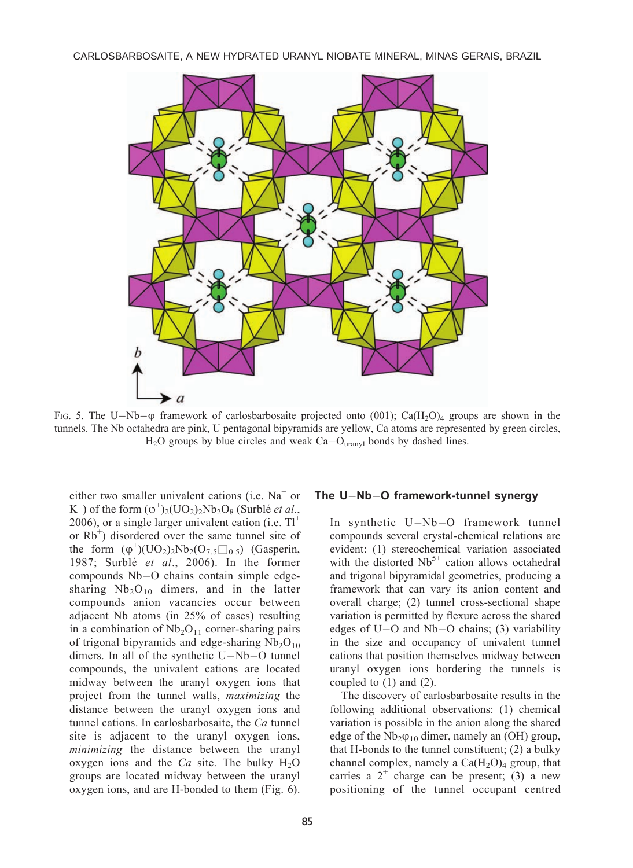CARLOSBARBOSAITE, A NEW HYDRATED URANYL NIOBATE MINERAL, MINAS GERAIS, BRAZIL



FIG. 5. The U-Nb- $\phi$  framework of carlosbarbosaite projected onto (001); Ca(H<sub>2</sub>O)<sub>4</sub> groups are shown in the tunnels. The Nb octahedra are pink, U pentagonal bipyramids are yellow, Ca atoms are represented by green circles,  $H_2O$  groups by blue circles and weak  $Ca-O<sub>uranyl</sub>$  bonds by dashed lines.

either two smaller univalent cations (i.e.  $Na<sup>+</sup>$  or K<sup>+</sup>) of the form  $(\varphi^+)_2$ (UO<sub>2</sub>)<sub>2</sub>Nb<sub>2</sub>O<sub>8</sub> (Surblé *et al.*, 2006), or a single larger univalent cation (i.e.  $TI^+$ or Rb<sup>+</sup>) disordered over the same tunnel site of the form  $(\varphi^+)(UO_2)_2Nb_2(O_{7.5}\square_{0.5})$  (Gasperin, 1987; Surblé et al., 2006). In the former compounds Nb-O chains contain simple edgesharing  $Nb<sub>2</sub>O<sub>10</sub>$  dimers, and in the latter compounds anion vacancies occur between adjacent Nb atoms (in 25% of cases) resulting in a combination of  $Nb<sub>2</sub>O<sub>11</sub>$  corner-sharing pairs of trigonal bipyramids and edge-sharing  $Nb<sub>2</sub>O<sub>10</sub>$ dimers. In all of the synthetic U-Nb-O tunnel compounds, the univalent cations are located midway between the uranyl oxygen ions that project from the tunnel walls, maximizing the distance between the uranyl oxygen ions and tunnel cations. In carlosbarbosaite, the Ca tunnel site is adjacent to the uranyl oxygen ions, minimizing the distance between the uranyl oxygen ions and the  $Ca$  site. The bulky  $H_2O$ groups are located midway between the uranyl oxygen ions, and are H-bonded to them (Fig. 6).

## The U-Nb-O framework-tunnel synergy

In synthetic U-Nb-O framework tunnel compounds several crystal-chemical relations are evident: (1) stereochemical variation associated with the distorted  $Nb<sup>5+</sup>$  cation allows octahedral and trigonal bipyramidal geometries, producing a framework that can vary its anion content and overall charge; (2) tunnel cross-sectional shape variation is permitted by flexure across the shared edges of U-O and Nb-O chains; (3) variability in the size and occupancy of univalent tunnel cations that position themselves midway between uranyl oxygen ions bordering the tunnels is coupled to  $(1)$  and  $(2)$ .

The discovery of carlosbarbosaite results in the following additional observations: (1) chemical variation is possible in the anion along the shared edge of the  $Nb_2\varphi_{10}$  dimer, namely an (OH) group, that H-bonds to the tunnel constituent; (2) a bulky channel complex, namely a  $Ca(H<sub>2</sub>O)<sub>4</sub>$  group, that carries a  $2^+$  charge can be present; (3) a new positioning of the tunnel occupant centred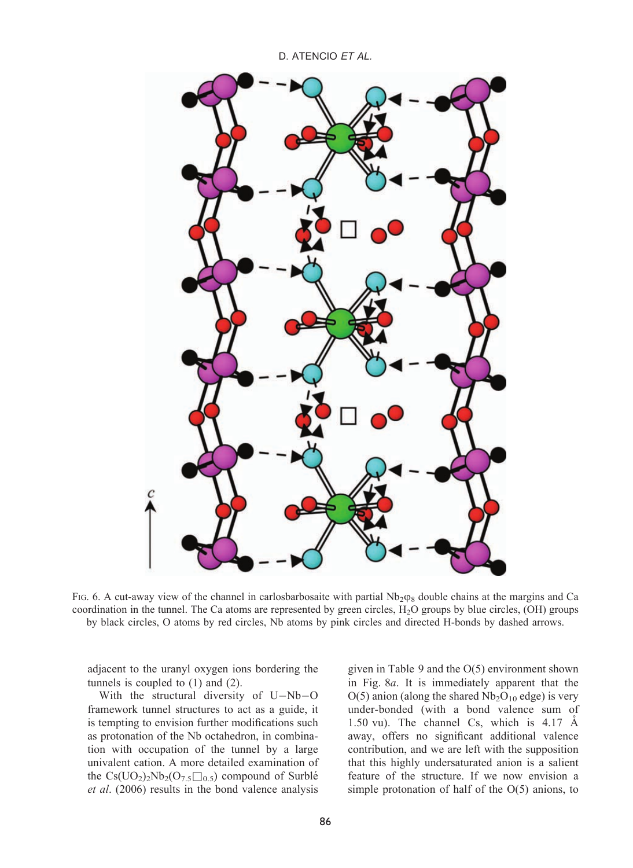D. ATENCIO ET AL.



FIG. 6. A cut-away view of the channel in carlosbarbosaite with partial  $Nb_2\varphi_8$  double chains at the margins and Ca coordination in the tunnel. The Ca atoms are represented by green circles, H2O groups by blue circles, (OH) groups by black circles, O atoms by red circles, Nb atoms by pink circles and directed H-bonds by dashed arrows.

adjacent to the uranyl oxygen ions bordering the tunnels is coupled to (1) and (2).

With the structural diversity of U-Nb-O framework tunnel structures to act as a guide, it is tempting to envision further modifications such as protonation of the Nb octahedron, in combination with occupation of the tunnel by a large univalent cation. A more detailed examination of the  $Cs(UO_2)_2Nb_2(O_{7.5}\square_{0.5})$  compound of Surblé et al. (2006) results in the bond valence analysis

given in Table 9 and the O(5) environment shown in Fig. 8a. It is immediately apparent that the  $O(5)$  anion (along the shared  $Nb<sub>2</sub>O<sub>10</sub>$  edge) is very under-bonded (with a bond valence sum of 1.50 vu). The channel Cs, which is  $4.17 \text{ Å}$ away, offers no significant additional valence contribution, and we are left with the supposition that this highly undersaturated anion is a salient feature of the structure. If we now envision a simple protonation of half of the O(5) anions, to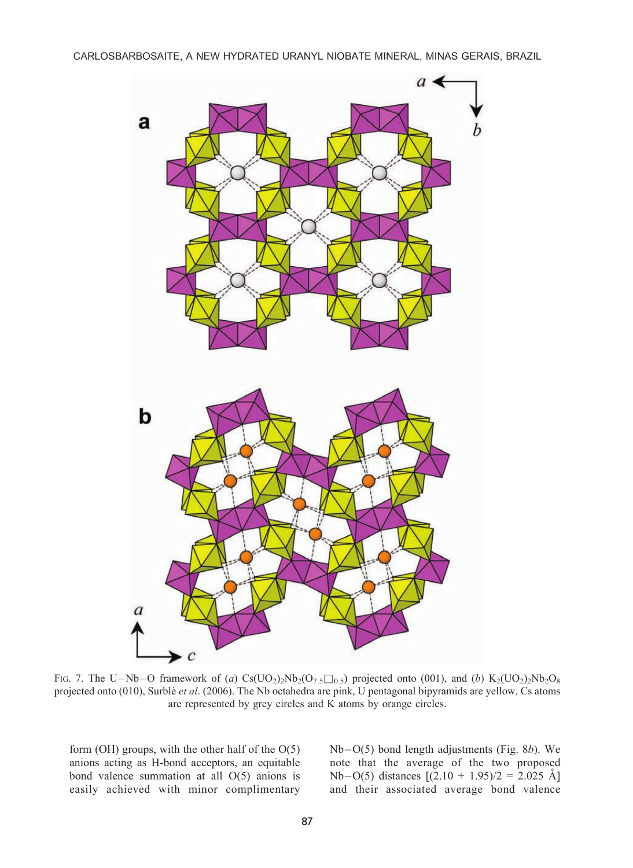

FIG. 7. The U–Nb–O framework of (a)  $Cs(UO_2)_2Nb_2(O_{7,5}\square_{0.5})$  projected onto (001), and (b)  $K_2(UO_2)_2Nb_2O_8$ projected onto (010), Surblé et al. (2006). The Nb octahedra are pink, U pentagonal bipyramids are yellow, Cs atoms are represented by grey circles and K atoms by orange circles.

form (OH) groups, with the other half of the O(5) anions acting as H-bond acceptors, an equitable bond valence summation at all O(5) anions is easily achieved with minor complimentary

Nb-O(5) bond length adjustments (Fig. 8b). We note that the average of the two proposed Nb-O(5) distances  $[(2.10 + 1.95)/2 = 2.025$  Å] and their associated average bond valence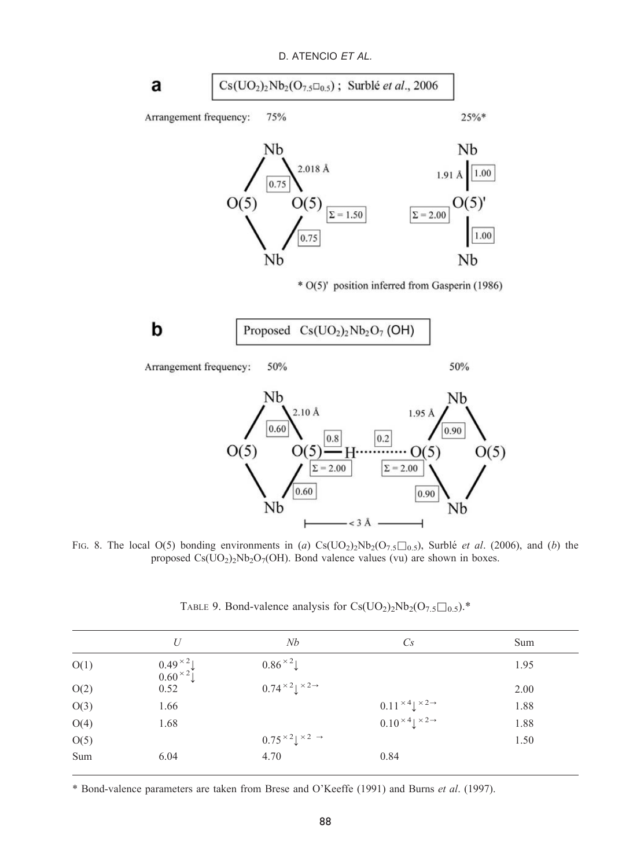**a** 
$$
Cs(UO_2)_2Nb_2(O_{7.5}\square_{0.5})
$$
; Surblé *et al.*, 2006

Arrangement frequency: 75%



\* O(5)' position inferred from Gasperin (1986)

$$
\begin{array}{|l|} \hline \textbf{Proposed} & \text{Cs}(\text{UO}_2)_2\text{Nb}_2\text{O}_7 \text{ (OH)}\\ \hline \end{array}
$$

50% Arrangement frequency:

50%

 $25%$ 



FIG. 8. The local O(5) bonding environments in (a)  $\text{Cs}(\text{UO}_2) \text{2Nb}_2(\text{O}_{7.5}\square_{0.5})$ , Surblé *et al.* (2006), and (b) the proposed  $Cs(UO<sub>2</sub>)<sub>2</sub>Nb<sub>2</sub>O<sub>7</sub>(OH)$ . Bond valence values (vu) are shown in boxes.

|      | U                                            | Nb                                              | $C_{S}$                                         | Sum  |
|------|----------------------------------------------|-------------------------------------------------|-------------------------------------------------|------|
| O(1) | $0.49 \times 2$<br>$0.60 \times 2$<br>$0.52$ | $0.86 \times 2$                                 |                                                 | 1.95 |
| O(2) |                                              | $0.74 \times 2 \downarrow \times 2 \rightarrow$ |                                                 | 2.00 |
| O(3) | 1.66                                         |                                                 | $0.11 \times 4 \downarrow \times 2 \rightarrow$ | 1.88 |
| O(4) | 1.68                                         |                                                 | $0.10 \times 4$ $\times 2 \rightarrow$          | 1.88 |
| O(5) |                                              | $0.75 \times 2 \downarrow \times 2 \rightarrow$ |                                                 | 1.50 |
| Sum  | 6.04                                         | 4.70                                            | 0.84                                            |      |

TABLE 9. Bond-valence analysis for  $Cs(UO<sub>2</sub>)<sub>2</sub>Nb<sub>2</sub>(O<sub>7.5</sub>\square<sub>0.5</sub>)$ .\*

\* Bond-valence parameters are taken from Brese and O'Keeffe (1991) and Burns et al. (1997).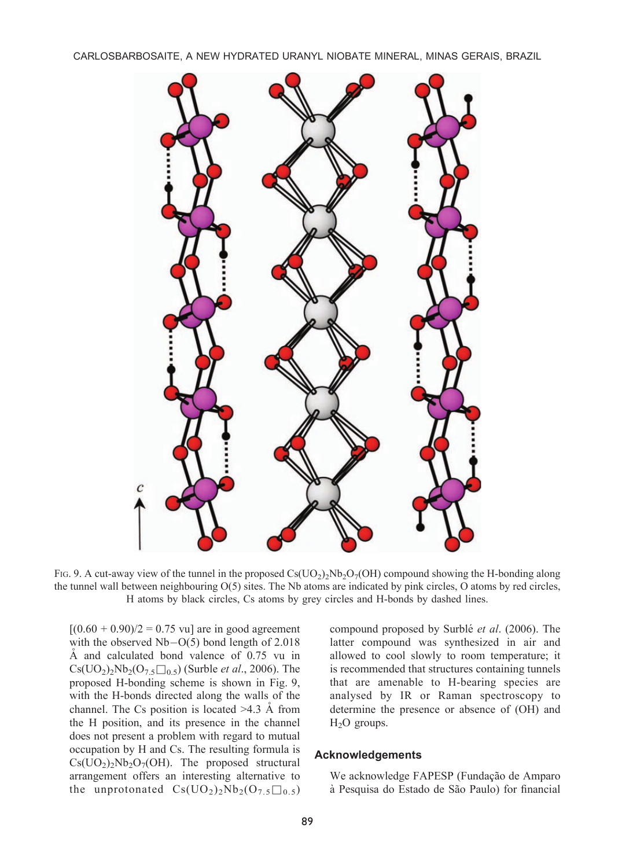CARLOSBARBOSAITE, A NEW HYDRATED URANYL NIOBATE MINERAL, MINAS GERAIS, BRAZIL



FIG. 9. A cut-away view of the tunnel in the proposed  $\text{Cs}(\text{UO}_2)_2\text{Nb}_2\text{O}_7(\text{OH})$  compound showing the H-bonding along the tunnel wall between neighbouring O(5) sites. The Nb atoms are indicated by pink circles, O atoms by red circles, H atoms by black circles, Cs atoms by grey circles and H-bonds by dashed lines.

 $[(0.60 + 0.90)/2 = 0.75$  vu] are in good agreement with the observed Nb-O(5) bond length of 2.018  $Å$  and calculated bond valence of 0.75 vu in  $Cs(UO<sub>2</sub>)<sub>2</sub>Nb<sub>2</sub>(O<sub>7.5</sub>  $\square$ <sub>0.5</sub>) (Surble *et al.*, 2006). The$ proposed H-bonding scheme is shown in Fig. 9, with the H-bonds directed along the walls of the channel. The Cs position is located  $>4.3$  Å from the H position, and its presence in the channel does not present a problem with regard to mutual occupation by H and Cs. The resulting formula is  $Cs(UO<sub>2</sub>)<sub>2</sub>Nb<sub>2</sub>O<sub>7</sub>(OH)$ . The proposed structural arrangement offers an interesting alternative to the unprotonated  $Cs(UO<sub>2</sub>)<sub>2</sub>Nb<sub>2</sub>(O<sub>7.5</sub>\square<sub>0.5</sub>)$ 

compound proposed by Surblé et al. (2006). The latter compound was synthesized in air and allowed to cool slowly to room temperature; it is recommended that structures containing tunnels that are amenable to H-bearing species are analysed by IR or Raman spectroscopy to determine the presence or absence of (OH) and  $H<sub>2</sub>O$  groups.

#### Acknowledgements

We acknowledge FAPESP (Fundação de Amparo à Pesquisa do Estado de São Paulo) for financial